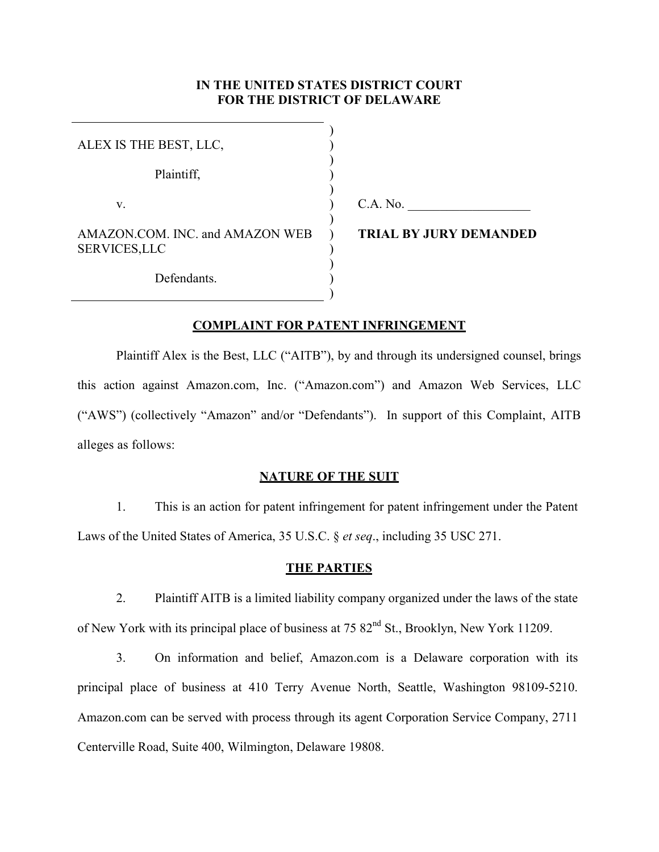# **IN THE UNITED STATES DISTRICT COURT FOR THE DISTRICT OF DELAWARE**

| ALEX IS THE BEST, LLC,                                 |  |
|--------------------------------------------------------|--|
| Plaintiff,                                             |  |
| V.                                                     |  |
| AMAZON COM. INC. and AMAZON WEB<br><b>SERVICES,LLC</b> |  |
| Defendants.                                            |  |

 $C.A. No.$ 

**TRIAL BY JURY DEMANDED** 

## **COMPLAINT FOR PATENT INFRINGEMENT**

)

Plaintiff Alex is the Best, LLC ("AITB"), by and through its undersigned counsel, brings this action against Amazon.com, Inc. ("Amazon.com") and Amazon Web Services, LLC ("AWS") (collectively "Amazon" and/or "Defendants"). In support of this Complaint, AITB alleges as follows:

## **NATURE OF THE SUIT**

1. This is an action for patent infringement for patent infringement under the Patent Laws of the United States of America, 35 U.S.C. § *et seq*., including 35 USC 271.

# **THE PARTIES**

2. Plaintiff AITB is a limited liability company organized under the laws of the state of New York with its principal place of business at 75 82nd St., Brooklyn, New York 11209.

3. On information and belief, Amazon.com is a Delaware corporation with its principal place of business at 410 Terry Avenue North, Seattle, Washington 98109-5210. Amazon.com can be served with process through its agent Corporation Service Company, 2711 Centerville Road, Suite 400, Wilmington, Delaware 19808.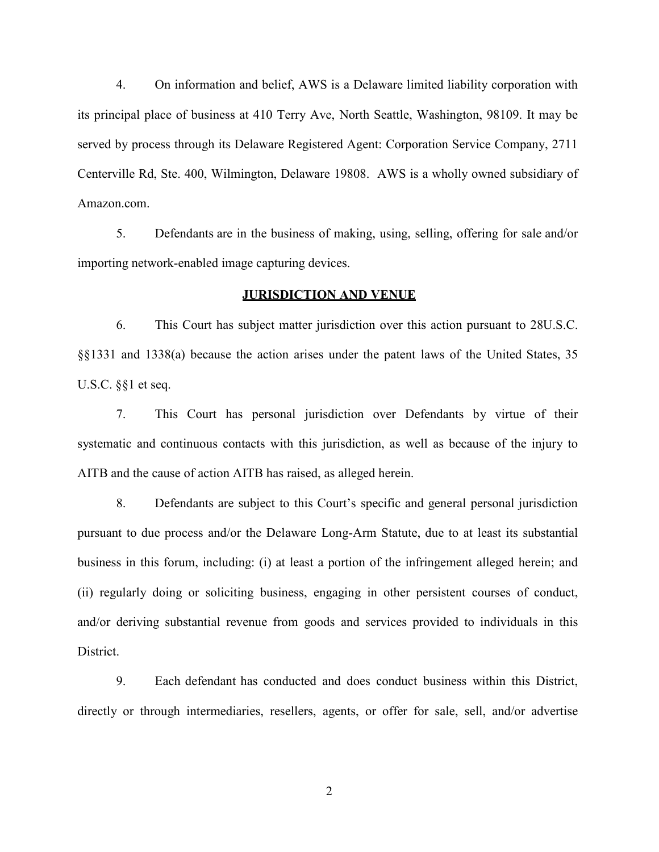4. On information and belief, AWS is a Delaware limited liability corporation with its principal place of business at 410 Terry Ave, North Seattle, Washington, 98109. It may be served by process through its Delaware Registered Agent: Corporation Service Company, 2711 Centerville Rd, Ste. 400, Wilmington, Delaware 19808. AWS is a wholly owned subsidiary of Amazon.com.

5. Defendants are in the business of making, using, selling, offering for sale and/or importing network-enabled image capturing devices.

## **JURISDICTION AND VENUE**

6. This Court has subject matter jurisdiction over this action pursuant to 28U.S.C. §§1331 and 1338(a) because the action arises under the patent laws of the United States, 35 U.S.C. §§1 et seq.

7. This Court has personal jurisdiction over Defendants by virtue of their systematic and continuous contacts with this jurisdiction, as well as because of the injury to AITB and the cause of action AITB has raised, as alleged herein.

8. Defendants are subject to this Court's specific and general personal jurisdiction pursuant to due process and/or the Delaware Long-Arm Statute, due to at least its substantial business in this forum, including: (i) at least a portion of the infringement alleged herein; and (ii) regularly doing or soliciting business, engaging in other persistent courses of conduct, and/or deriving substantial revenue from goods and services provided to individuals in this District.

9. Each defendant has conducted and does conduct business within this District, directly or through intermediaries, resellers, agents, or offer for sale, sell, and/or advertise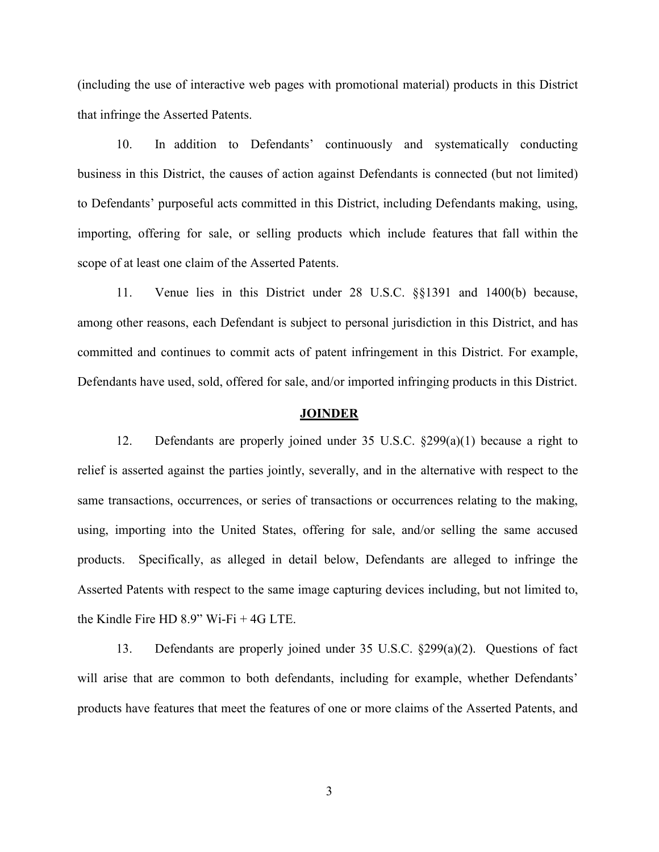(including the use of interactive web pages with promotional material) products in this District that infringe the Asserted Patents.

10. In addition to Defendants' continuously and systematically conducting business in this District, the causes of action against Defendants is connected (but not limited) to Defendants' purposeful acts committed in this District, including Defendants making, using, importing, offering for sale, or selling products which include features that fall within the scope of at least one claim of the Asserted Patents.

11. Venue lies in this District under 28 U.S.C. §§1391 and 1400(b) because, among other reasons, each Defendant is subject to personal jurisdiction in this District, and has committed and continues to commit acts of patent infringement in this District. For example, Defendants have used, sold, offered for sale, and/or imported infringing products in this District.

## **JOINDER**

12. Defendants are properly joined under 35 U.S.C. §299(a)(1) because a right to relief is asserted against the parties jointly, severally, and in the alternative with respect to the same transactions, occurrences, or series of transactions or occurrences relating to the making, using, importing into the United States, offering for sale, and/or selling the same accused products. Specifically, as alleged in detail below, Defendants are alleged to infringe the Asserted Patents with respect to the same image capturing devices including, but not limited to, the Kindle Fire HD 8.9" Wi-Fi + 4G LTE.

13. Defendants are properly joined under 35 U.S.C. §299(a)(2). Questions of fact will arise that are common to both defendants, including for example, whether Defendants' products have features that meet the features of one or more claims of the Asserted Patents, and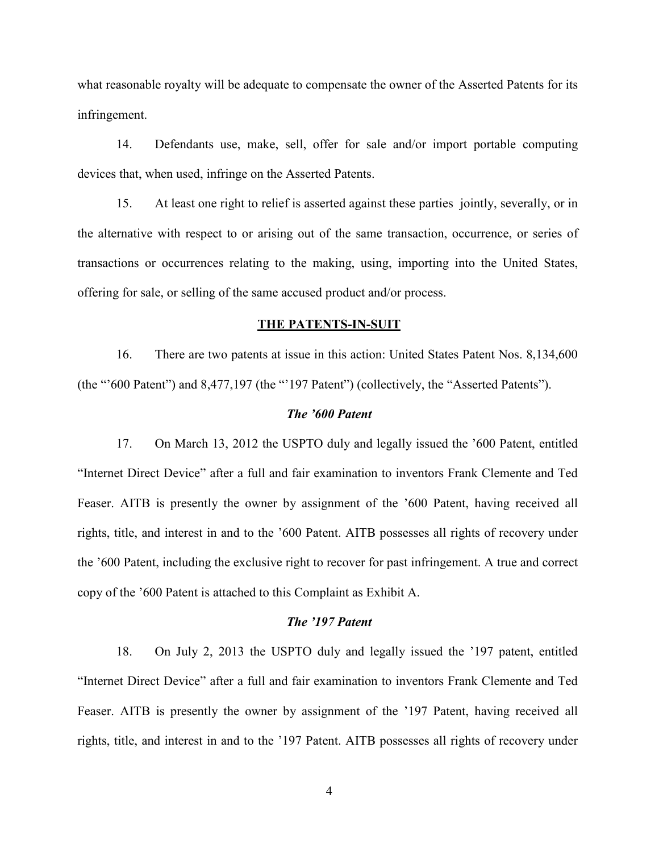what reasonable royalty will be adequate to compensate the owner of the Asserted Patents for its infringement.

14. Defendants use, make, sell, offer for sale and/or import portable computing devices that, when used, infringe on the Asserted Patents.

15. At least one right to relief is asserted against these parties jointly, severally, or in the alternative with respect to or arising out of the same transaction, occurrence, or series of transactions or occurrences relating to the making, using, importing into the United States, offering for sale, or selling of the same accused product and/or process.

### **THE PATENTS-IN-SUIT**

16. There are two patents at issue in this action: United States Patent Nos. 8,134,600 (the "'600 Patent") and 8,477,197 (the "'197 Patent") (collectively, the "Asserted Patents").

## *The '600 Patent*

17. On March 13, 2012 the USPTO duly and legally issued the '600 Patent, entitled "Internet Direct Device" after a full and fair examination to inventors Frank Clemente and Ted Feaser. AITB is presently the owner by assignment of the '600 Patent, having received all rights, title, and interest in and to the '600 Patent. AITB possesses all rights of recovery under the '600 Patent, including the exclusive right to recover for past infringement. A true and correct copy of the '600 Patent is attached to this Complaint as Exhibit A.

## *The '197 Patent*

18. On July 2, 2013 the USPTO duly and legally issued the '197 patent, entitled "Internet Direct Device" after a full and fair examination to inventors Frank Clemente and Ted Feaser. AITB is presently the owner by assignment of the '197 Patent, having received all rights, title, and interest in and to the '197 Patent. AITB possesses all rights of recovery under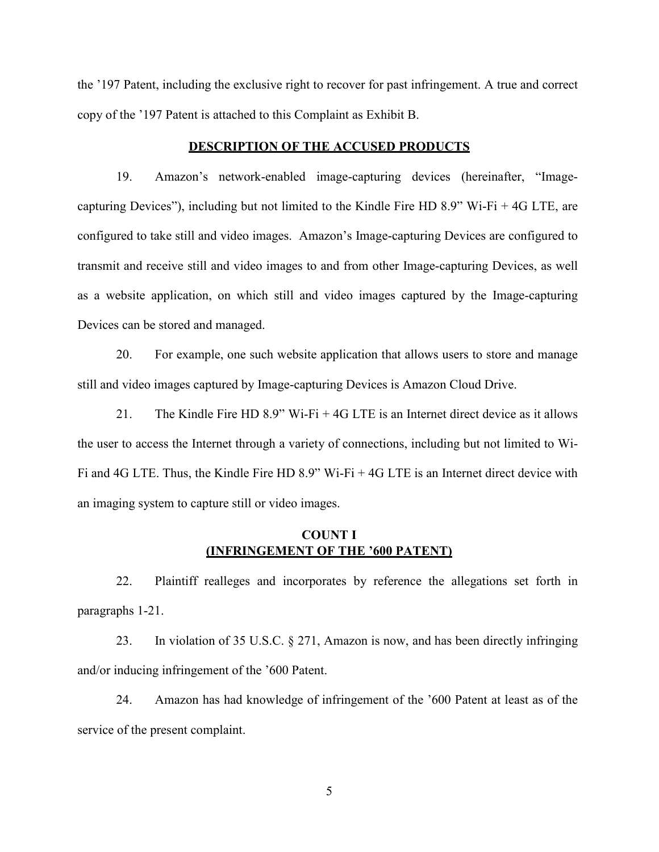the '197 Patent, including the exclusive right to recover for past infringement. A true and correct copy of the '197 Patent is attached to this Complaint as Exhibit B.

#### **DESCRIPTION OF THE ACCUSED PRODUCTS**

19. Amazon's network-enabled image-capturing devices (hereinafter, "Imagecapturing Devices"), including but not limited to the Kindle Fire HD 8.9" Wi-Fi + 4G LTE, are configured to take still and video images. Amazon's Image-capturing Devices are configured to transmit and receive still and video images to and from other Image-capturing Devices, as well as a website application, on which still and video images captured by the Image-capturing Devices can be stored and managed.

20. For example, one such website application that allows users to store and manage still and video images captured by Image-capturing Devices is Amazon Cloud Drive.

21. The Kindle Fire HD 8.9" Wi-Fi + 4G LTE is an Internet direct device as it allows the user to access the Internet through a variety of connections, including but not limited to Wi-Fi and 4G LTE. Thus, the Kindle Fire HD 8.9" Wi-Fi + 4G LTE is an Internet direct device with an imaging system to capture still or video images.

# **COUNT I (INFRINGEMENT OF THE '600 PATENT)**

22. Plaintiff realleges and incorporates by reference the allegations set forth in paragraphs 1-21.

23. In violation of 35 U.S.C. § 271, Amazon is now, and has been directly infringing and/or inducing infringement of the '600 Patent.

24. Amazon has had knowledge of infringement of the '600 Patent at least as of the service of the present complaint.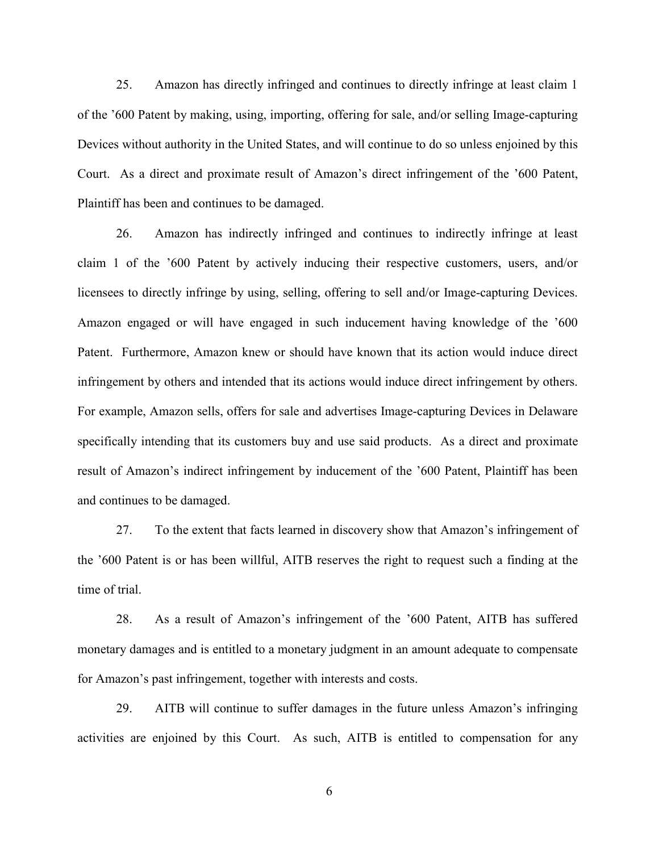25. Amazon has directly infringed and continues to directly infringe at least claim 1 of the '600 Patent by making, using, importing, offering for sale, and/or selling Image-capturing Devices without authority in the United States, and will continue to do so unless enjoined by this Court. As a direct and proximate result of Amazon's direct infringement of the '600 Patent, Plaintiff has been and continues to be damaged.

26. Amazon has indirectly infringed and continues to indirectly infringe at least claim 1 of the '600 Patent by actively inducing their respective customers, users, and/or licensees to directly infringe by using, selling, offering to sell and/or Image-capturing Devices. Amazon engaged or will have engaged in such inducement having knowledge of the '600 Patent. Furthermore, Amazon knew or should have known that its action would induce direct infringement by others and intended that its actions would induce direct infringement by others. For example, Amazon sells, offers for sale and advertises Image-capturing Devices in Delaware specifically intending that its customers buy and use said products. As a direct and proximate result of Amazon's indirect infringement by inducement of the '600 Patent, Plaintiff has been and continues to be damaged.

27. To the extent that facts learned in discovery show that Amazon's infringement of the '600 Patent is or has been willful, AITB reserves the right to request such a finding at the time of trial.

28. As a result of Amazon's infringement of the '600 Patent, AITB has suffered monetary damages and is entitled to a monetary judgment in an amount adequate to compensate for Amazon's past infringement, together with interests and costs.

29. AITB will continue to suffer damages in the future unless Amazon's infringing activities are enjoined by this Court. As such, AITB is entitled to compensation for any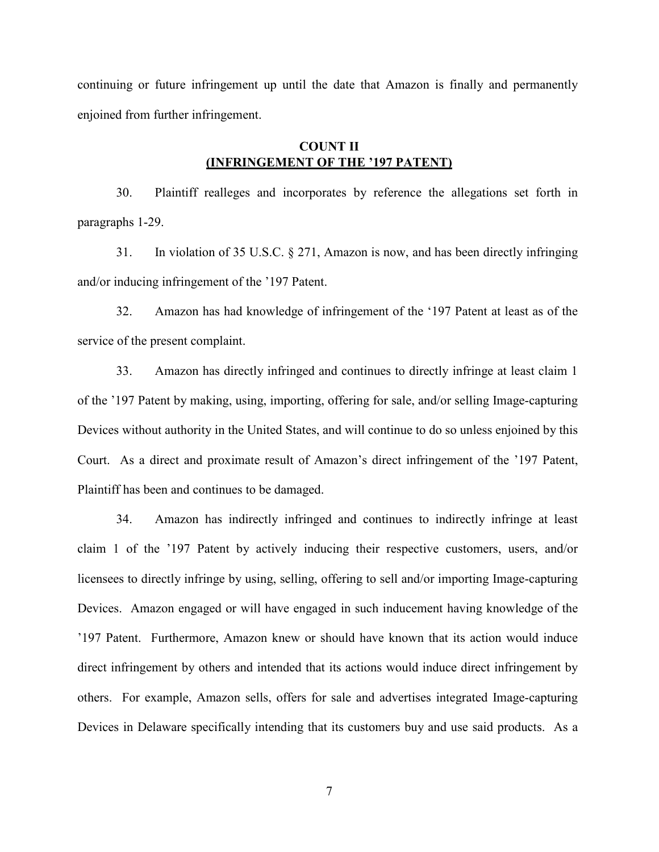continuing or future infringement up until the date that Amazon is finally and permanently enjoined from further infringement.

# **COUNT II (INFRINGEMENT OF THE '197 PATENT)**

30. Plaintiff realleges and incorporates by reference the allegations set forth in paragraphs 1-29.

31. In violation of 35 U.S.C. § 271, Amazon is now, and has been directly infringing and/or inducing infringement of the '197 Patent.

32. Amazon has had knowledge of infringement of the '197 Patent at least as of the service of the present complaint.

33. Amazon has directly infringed and continues to directly infringe at least claim 1 of the '197 Patent by making, using, importing, offering for sale, and/or selling Image-capturing Devices without authority in the United States, and will continue to do so unless enjoined by this Court. As a direct and proximate result of Amazon's direct infringement of the '197 Patent, Plaintiff has been and continues to be damaged.

34. Amazon has indirectly infringed and continues to indirectly infringe at least claim 1 of the '197 Patent by actively inducing their respective customers, users, and/or licensees to directly infringe by using, selling, offering to sell and/or importing Image-capturing Devices. Amazon engaged or will have engaged in such inducement having knowledge of the '197 Patent. Furthermore, Amazon knew or should have known that its action would induce direct infringement by others and intended that its actions would induce direct infringement by others. For example, Amazon sells, offers for sale and advertises integrated Image-capturing Devices in Delaware specifically intending that its customers buy and use said products. As a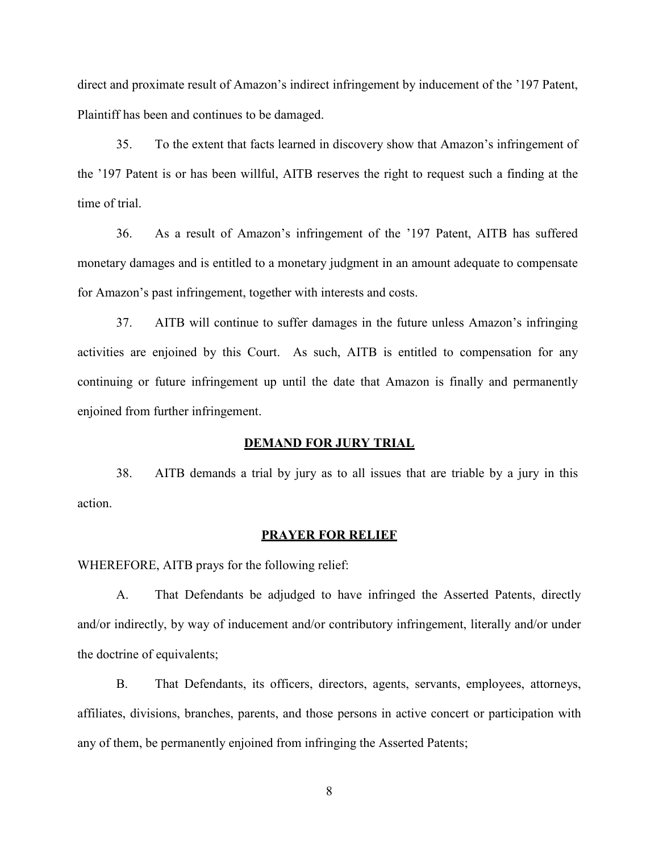direct and proximate result of Amazon's indirect infringement by inducement of the '197 Patent, Plaintiff has been and continues to be damaged.

35. To the extent that facts learned in discovery show that Amazon's infringement of the '197 Patent is or has been willful, AITB reserves the right to request such a finding at the time of trial.

36. As a result of Amazon's infringement of the '197 Patent, AITB has suffered monetary damages and is entitled to a monetary judgment in an amount adequate to compensate for Amazon's past infringement, together with interests and costs.

37. AITB will continue to suffer damages in the future unless Amazon's infringing activities are enjoined by this Court. As such, AITB is entitled to compensation for any continuing or future infringement up until the date that Amazon is finally and permanently enjoined from further infringement.

### **DEMAND FOR JURY TRIAL**

38. AITB demands a trial by jury as to all issues that are triable by a jury in this action.

### **PRAYER FOR RELIEF**

WHEREFORE, AITB prays for the following relief:

A. That Defendants be adjudged to have infringed the Asserted Patents, directly and/or indirectly, by way of inducement and/or contributory infringement, literally and/or under the doctrine of equivalents;

B. That Defendants, its officers, directors, agents, servants, employees, attorneys, affiliates, divisions, branches, parents, and those persons in active concert or participation with any of them, be permanently enjoined from infringing the Asserted Patents;